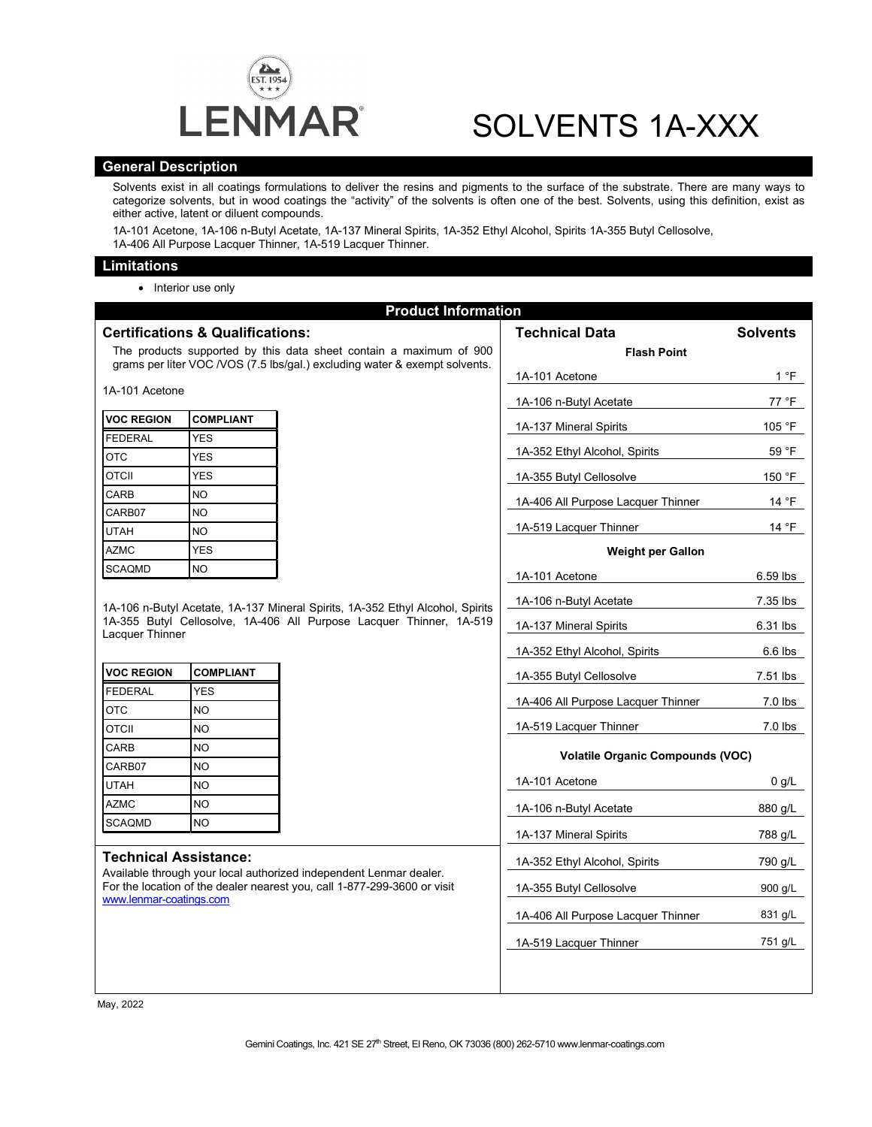

# SOLVENTS 1A-XXX

#### **General Description**

Solvents exist in all coatings formulations to deliver the resins and pigments to the surface of the substrate. There are many ways to categorize solvents, but in wood coatings the "activity" of the solvents is often one of the best. Solvents, using this definition, exist as either active, latent or diluent compounds.

1A-101 Acetone, 1A-106 n-Butyl Acetate, 1A-137 Mineral Spirits, 1A-352 Ethyl Alcohol, Spirits 1A-355 Butyl Cellosolve, 1A-406 All Purpose Lacquer Thinner, 1A-519 Lacquer Thinner.

#### **Limitations**

• Interior use only

| <b>Product Information</b>                                                                                                                                                                                |                  |  |                                         |                 |
|-----------------------------------------------------------------------------------------------------------------------------------------------------------------------------------------------------------|------------------|--|-----------------------------------------|-----------------|
| <b>Certifications &amp; Qualifications:</b>                                                                                                                                                               |                  |  | <b>Technical Data</b>                   | <b>Solvents</b> |
| The products supported by this data sheet contain a maximum of 900                                                                                                                                        |                  |  | <b>Flash Point</b>                      |                 |
| grams per liter VOC /VOS (7.5 lbs/gal.) excluding water & exempt solvents.                                                                                                                                |                  |  | 1A-101 Acetone                          | 1 °F            |
| 1A-101 Acetone                                                                                                                                                                                            |                  |  | 1A-106 n-Butyl Acetate                  | 77 °F           |
| <b>VOC REGION</b>                                                                                                                                                                                         | <b>COMPLIANT</b> |  |                                         |                 |
| <b>FEDERAL</b>                                                                                                                                                                                            | <b>YES</b>       |  | 1A-137 Mineral Spirits                  | 105 °F          |
| <b>OTC</b>                                                                                                                                                                                                | <b>YES</b>       |  | 1A-352 Ethyl Alcohol, Spirits           | 59 °F           |
| <b>OTCII</b>                                                                                                                                                                                              | <b>YES</b>       |  | 1A-355 Butyl Cellosolve                 | 150 °F          |
| CARB                                                                                                                                                                                                      | <b>NO</b>        |  | 1A-406 All Purpose Lacquer Thinner      | 14 °F           |
| CARB07                                                                                                                                                                                                    | <b>NO</b>        |  |                                         |                 |
| <b>UTAH</b>                                                                                                                                                                                               | <b>NO</b>        |  | 1A-519 Lacquer Thinner                  | 14 °F           |
| <b>AZMC</b>                                                                                                                                                                                               | <b>YES</b>       |  | <b>Weight per Gallon</b>                |                 |
| <b>SCAQMD</b>                                                                                                                                                                                             | <b>NO</b>        |  | 1A-101 Acetone                          | 6.59 lbs        |
| 1A-106 n-Butyl Acetate, 1A-137 Mineral Spirits, 1A-352 Ethyl Alcohol, Spirits<br>1A-355 Butyl Cellosolve, 1A-406 All Purpose Lacquer Thinner, 1A-519<br>Lacquer Thinner                                   |                  |  | 1A-106 n-Butyl Acetate                  | 7.35 lbs        |
|                                                                                                                                                                                                           |                  |  |                                         |                 |
|                                                                                                                                                                                                           |                  |  | 1A-137 Mineral Spirits                  | 6.31 lbs        |
|                                                                                                                                                                                                           |                  |  | 1A-352 Ethyl Alcohol, Spirits           | $6.6$ lbs       |
| <b>VOC REGION</b>                                                                                                                                                                                         | <b>COMPLIANT</b> |  | 1A-355 Butyl Cellosolve                 | 7.51 lbs        |
| <b>FEDERAL</b>                                                                                                                                                                                            | <b>YES</b>       |  | 1A-406 All Purpose Lacquer Thinner      | 7.0 lbs         |
| <b>OTC</b>                                                                                                                                                                                                | <b>NO</b>        |  |                                         |                 |
| <b>OTCII</b>                                                                                                                                                                                              | <b>NO</b>        |  | 1A-519 Lacquer Thinner                  | $7.0$ lbs       |
| CARB                                                                                                                                                                                                      | N <sub>O</sub>   |  | <b>Volatile Organic Compounds (VOC)</b> |                 |
| CARB07                                                                                                                                                                                                    | N <sub>O</sub>   |  |                                         |                 |
| <b>UTAH</b>                                                                                                                                                                                               | <b>NO</b>        |  | 1A-101 Acetone                          | 0 g/L           |
| <b>AZMC</b>                                                                                                                                                                                               | <b>NO</b>        |  | 1A-106 n-Butyl Acetate                  | 880 g/L         |
| <b>SCAQMD</b>                                                                                                                                                                                             | N <sub>O</sub>   |  | 1A-137 Mineral Spirits                  | 788 g/L         |
| <b>Technical Assistance:</b><br>Available through your local authorized independent Lenmar dealer.<br>For the location of the dealer nearest you, call 1-877-299-3600 or visit<br>www.lenmar-coatings.com |                  |  |                                         |                 |
|                                                                                                                                                                                                           |                  |  | 1A-352 Ethyl Alcohol, Spirits           | 790 g/L         |
|                                                                                                                                                                                                           |                  |  | 1A-355 Butyl Cellosolve                 | 900 g/L         |
|                                                                                                                                                                                                           |                  |  | 1A-406 All Purpose Lacquer Thinner      | 831 g/L         |
|                                                                                                                                                                                                           |                  |  | 1A-519 Lacquer Thinner                  | 751 g/L         |
|                                                                                                                                                                                                           |                  |  |                                         |                 |
|                                                                                                                                                                                                           |                  |  |                                         |                 |
|                                                                                                                                                                                                           |                  |  |                                         |                 |

May, 2022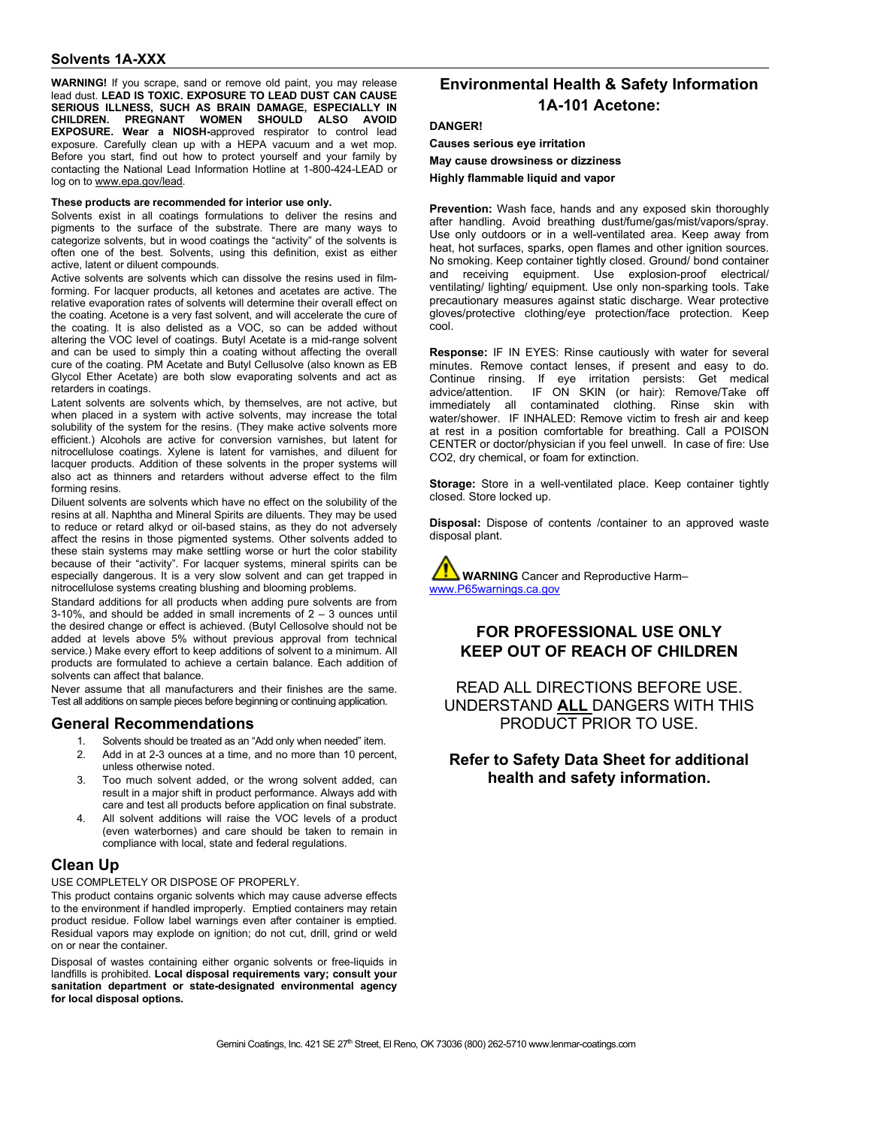**WARNING!** If you scrape, sand or remove old paint, you may release lead dust. **LEAD IS TOXIC. EXPOSURE TO LEAD DUST CAN CAUSE SERIOUS ILLNESS, SUCH AS BRAIN DAMAGE, ESPECIALLY IN CHILDREN. PREGNANT WOMEN SHOULD ALSO AVOID EXPOSURE. Wear a NIOSH-**approved respirator to control lead exposure. Carefully clean up with a HEPA vacuum and a wet mop. Before you start, find out how to protect yourself and your family by contacting the National Lead Information Hotline at 1-800-424-LEAD or log on to [www.epa.gov/lead.](http://www.epa.gov/lead)

#### **These products are recommended for interior use only.**

Solvents exist in all coatings formulations to deliver the resins and pigments to the surface of the substrate. There are many ways to categorize solvents, but in wood coatings the "activity" of the solvents is often one of the best. Solvents, using this definition, exist as either active, latent or diluent compounds.

Active solvents are solvents which can dissolve the resins used in filmforming. For lacquer products, all ketones and acetates are active. The relative evaporation rates of solvents will determine their overall effect on the coating. Acetone is a very fast solvent, and will accelerate the cure of the coating. It is also delisted as a VOC, so can be added without altering the VOC level of coatings. Butyl Acetate is a mid-range solvent and can be used to simply thin a coating without affecting the overall cure of the coating. PM Acetate and Butyl Cellusolve (also known as EB Glycol Ether Acetate) are both slow evaporating solvents and act as retarders in coatings.

Latent solvents are solvents which, by themselves, are not active, but when placed in a system with active solvents, may increase the total solubility of the system for the resins. (They make active solvents more efficient.) Alcohols are active for conversion varnishes, but latent for nitrocellulose coatings. Xylene is latent for varnishes, and diluent for lacquer products. Addition of these solvents in the proper systems will also act as thinners and retarders without adverse effect to the film forming resins.

Diluent solvents are solvents which have no effect on the solubility of the resins at all. Naphtha and Mineral Spirits are diluents. They may be used to reduce or retard alkyd or oil-based stains, as they do not adversely affect the resins in those pigmented systems. Other solvents added to these stain systems may make settling worse or hurt the color stability because of their "activity". For lacquer systems, mineral spirits can be especially dangerous. It is a very slow solvent and can get trapped in nitrocellulose systems creating blushing and blooming problems.

Standard additions for all products when adding pure solvents are from 3-10%, and should be added in small increments of 2 – 3 ounces until the desired change or effect is achieved. (Butyl Cellosolve should not be added at levels above 5% without previous approval from technical service.) Make every effort to keep additions of solvent to a minimum. All products are formulated to achieve a certain balance. Each addition of solvents can affect that balance.

Never assume that all manufacturers and their finishes are the same. Test all additions on sample pieces before beginning or continuing application.

#### **General Recommendations**

- 1. Solvents should be treated as an "Add only when needed" item.
- 2. Add in at 2-3 ounces at a time, and no more than 10 percent, unless otherwise noted.
- 3. Too much solvent added, or the wrong solvent added, can result in a major shift in product performance. Always add with care and test all products before application on final substrate.
- All solvent additions will raise the VOC levels of a product (even waterbornes) and care should be taken to remain in compliance with local, state and federal regulations.

## **Clean Up**

USE COMPLETELY OR DISPOSE OF PROPERLY.

This product contains organic solvents which may cause adverse effects to the environment if handled improperly. Emptied containers may retain product residue. Follow label warnings even after container is emptied. Residual vapors may explode on ignition; do not cut, drill, grind or weld on or near the container.

Disposal of wastes containing either organic solvents or free-liquids in landfills is prohibited. **Local disposal requirements vary; consult your sanitation department or state-designated environmental agency for local disposal options.** 

# **Environmental Health & Safety Information 1A-101 Acetone:**

#### **DANGER!**

**Causes serious eye irritation May cause drowsiness or dizziness** 

**Highly flammable liquid and vapor**

**Prevention:** Wash face, hands and any exposed skin thoroughly after handling. Avoid breathing dust/fume/gas/mist/vapors/spray. Use only outdoors or in a well-ventilated area. Keep away from heat, hot surfaces, sparks, open flames and other ignition sources. No smoking. Keep container tightly closed. Ground/ bond container and receiving equipment. Use explosion-proof electrical/ ventilating/ lighting/ equipment. Use only non-sparking tools. Take precautionary measures against static discharge. Wear protective gloves/protective clothing/eye protection/face protection. Keep cool.

**Response:** IF IN EYES: Rinse cautiously with water for several minutes. Remove contact lenses, if present and easy to do. Continue rinsing. If eye irritation persists: Get medical IF ON SKIN (or hair): Remove/Take off immediately all contaminated clothing. Rinse skin with water/shower. IF INHALED: Remove victim to fresh air and keep at rest in a position comfortable for breathing. Call a POISON CENTER or doctor/physician if you feel unwell. In case of fire: Use CO2, dry chemical, or foam for extinction.

**Storage:** Store in a well-ventilated place. Keep container tightly closed. Store locked up.

**Disposal:** Dispose of contents /container to an approved waste disposal plant.

**WARNING** Cancer and Reproductive Harm– [www.P65warnings.ca.gov](http://www.p65warnings.ca.gov/)

## **FOR PROFESSIONAL USE ONLY KEEP OUT OF REACH OF CHILDREN**

READ ALL DIRECTIONS BEFORE USE. UNDERSTAND **ALL** DANGERS WITH THIS PRODUCT PRIOR TO USE.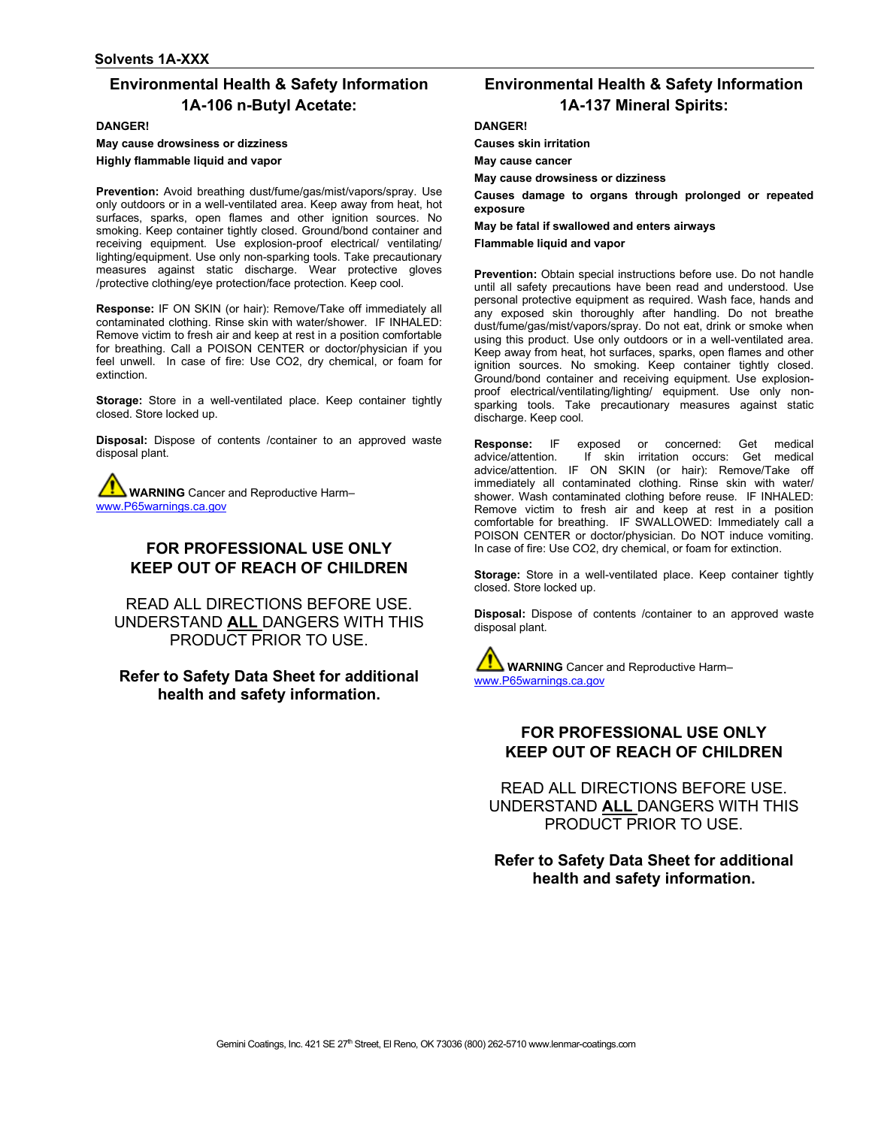# **Environmental Health & Safety Information 1A-106 n-Butyl Acetate:**

**DANGER!**

**May cause drowsiness or dizziness Highly flammable liquid and vapor** 

**Prevention:** Avoid breathing dust/fume/gas/mist/vapors/spray. Use only outdoors or in a well-ventilated area. Keep away from heat, hot surfaces, sparks, open flames and other ignition sources. No smoking. Keep container tightly closed. Ground/bond container and receiving equipment. Use explosion-proof electrical/ ventilating/ lighting/equipment. Use only non-sparking tools. Take precautionary measures against static discharge. Wear protective gloves /protective clothing/eye protection/face protection. Keep cool.

**Response:** IF ON SKIN (or hair): Remove/Take off immediately all contaminated clothing. Rinse skin with water/shower. IF INHALED: Remove victim to fresh air and keep at rest in a position comfortable for breathing. Call a POISON CENTER or doctor/physician if you feel unwell. In case of fire: Use CO2, dry chemical, or foam for extinction.

**Storage:** Store in a well-ventilated place. Keep container tightly closed. Store locked up.

**Disposal:** Dispose of contents /container to an approved waste disposal plant.

**WARNING** Cancer and Reproductive Harm– [www.P65warnings.ca.gov](http://www.p65warnings.ca.gov/)

# **FOR PROFESSIONAL USE ONLY KEEP OUT OF REACH OF CHILDREN**

READ ALL DIRECTIONS BEFORE USE. UNDERSTAND **ALL** DANGERS WITH THIS PRODUCT PRIOR TO USE.

**Refer to Safety Data Sheet for additional health and safety information.**

# **Environmental Health & Safety Information 1A-137 Mineral Spirits:**

#### **DANGER!**

**Causes skin irritation**

**May cause cancer**

**May cause drowsiness or dizziness**

**Causes damage to organs through prolonged or repeated exposure**

**May be fatal if swallowed and enters airways** 

**Flammable liquid and vapor** 

**Prevention:** Obtain special instructions before use. Do not handle until all safety precautions have been read and understood. Use personal protective equipment as required. Wash face, hands and any exposed skin thoroughly after handling. Do not breathe dust/fume/gas/mist/vapors/spray. Do not eat, drink or smoke when using this product. Use only outdoors or in a well-ventilated area. Keep away from heat, hot surfaces, sparks, open flames and other ignition sources. No smoking. Keep container tightly closed. Ground/bond container and receiving equipment. Use explosionproof electrical/ventilating/lighting/ equipment. Use only nonsparking tools. Take precautionary measures against static discharge. Keep cool.

**Response:** IF exposed or concerned: Get medical advice/attention. If skin irritation occurs: Get medical advice/attention. IF ON SKIN (or hair): Remove/Take off immediately all contaminated clothing. Rinse skin with water/ shower. Wash contaminated clothing before reuse. IF INHALED: Remove victim to fresh air and keep at rest in a position comfortable for breathing. IF SWALLOWED: Immediately call a POISON CENTER or doctor/physician. Do NOT induce vomiting. In case of fire: Use CO2, dry chemical, or foam for extinction.

**Storage:** Store in a well-ventilated place. Keep container tightly closed. Store locked up.

**Disposal:** Dispose of contents /container to an approved waste disposal plant.

**WARNING** Cancer and Reproductive Harm– [www.P65warnings.ca.gov](http://www.p65warnings.ca.gov/)

# **FOR PROFESSIONAL USE ONLY KEEP OUT OF REACH OF CHILDREN**

READ ALL DIRECTIONS BEFORE USE. UNDERSTAND **ALL** DANGERS WITH THIS PRODUCT PRIOR TO USE.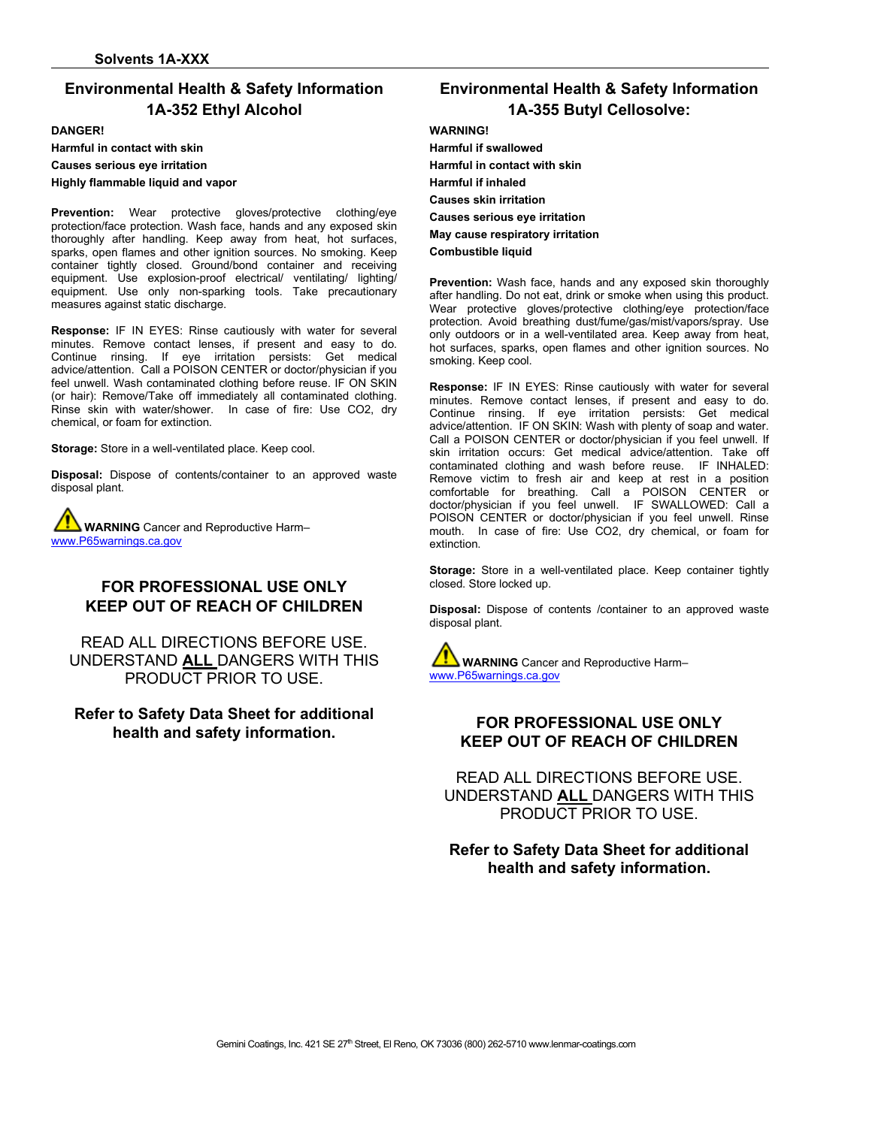# **Environmental Health & Safety Information 1A-352 Ethyl Alcohol**

#### **DANGER!**

**Harmful in contact with skin**

**Causes serious eye irritation** 

**Highly flammable liquid and vapor** 

**Prevention:** Wear protective gloves/protective clothing/eye protection/face protection. Wash face, hands and any exposed skin thoroughly after handling. Keep away from heat, hot surfaces, sparks, open flames and other ignition sources. No smoking. Keep container tightly closed. Ground/bond container and receiving equipment. Use explosion-proof electrical/ ventilating/ lighting/ equipment. Use only non-sparking tools. Take precautionary measures against static discharge.

**Response:** IF IN EYES: Rinse cautiously with water for several minutes. Remove contact lenses, if present and easy to do. Continue rinsing. If eye irritation persists: Get medical advice/attention. Call a POISON CENTER or doctor/physician if you feel unwell. Wash contaminated clothing before reuse. IF ON SKIN (or hair): Remove/Take off immediately all contaminated clothing. Rinse skin with water/shower. In case of fire: Use CO2, dry chemical, or foam for extinction.

**Storage:** Store in a well-ventilated place. Keep cool.

**Disposal:** Dispose of contents/container to an approved waste disposal plant.

**WARNING** Cancer and Reproductive Harm– [www.P65warnings.ca.gov](http://www.p65warnings.ca.gov/)

# **FOR PROFESSIONAL USE ONLY KEEP OUT OF REACH OF CHILDREN**

READ ALL DIRECTIONS BEFORE USE. UNDERSTAND **ALL** DANGERS WITH THIS PRODUCT PRIOR TO USE.

### **Refer to Safety Data Sheet for additional health and safety information.**

# **Environmental Health & Safety Information 1A-355 Butyl Cellosolve:**

#### **WARNING!**

**Harmful if swallowed Harmful in contact with skin Harmful if inhaled Causes skin irritation Causes serious eye irritation May cause respiratory irritation Combustible liquid** 

**Prevention:** Wash face, hands and any exposed skin thoroughly after handling. Do not eat, drink or smoke when using this product. Wear protective gloves/protective clothing/eye protection/face protection. Avoid breathing dust/fume/gas/mist/vapors/spray. Use only outdoors or in a well-ventilated area. Keep away from heat, hot surfaces, sparks, open flames and other ignition sources. No smoking. Keep cool.

**Response:** IF IN EYES: Rinse cautiously with water for several minutes. Remove contact lenses, if present and easy to do. Continue rinsing. If eye irritation persists: Get medical advice/attention. IF ON SKIN: Wash with plenty of soap and water. Call a POISON CENTER or doctor/physician if you feel unwell. If skin irritation occurs: Get medical advice/attention. Take off contaminated clothing and wash before reuse. IF INHALED: Remove victim to fresh air and keep at rest in a position comfortable for breathing. Call a POISON CENTER or doctor/physician if you feel unwell. IF SWALLOWED: Call a POISON CENTER or doctor/physician if you feel unwell. Rinse mouth. In case of fire: Use CO2, dry chemical, or foam for extinction.

**Storage:** Store in a well-ventilated place. Keep container tightly closed. Store locked up.

**Disposal:** Dispose of contents /container to an approved waste disposal plant.

**WARNING** Cancer and Reproductive Harm– [www.P65warnings.ca.gov](http://www.p65warnings.ca.gov/)

# **FOR PROFESSIONAL USE ONLY KEEP OUT OF REACH OF CHILDREN**

READ ALL DIRECTIONS BEFORE USE. UNDERSTAND **ALL** DANGERS WITH THIS PRODUCT PRIOR TO USE.